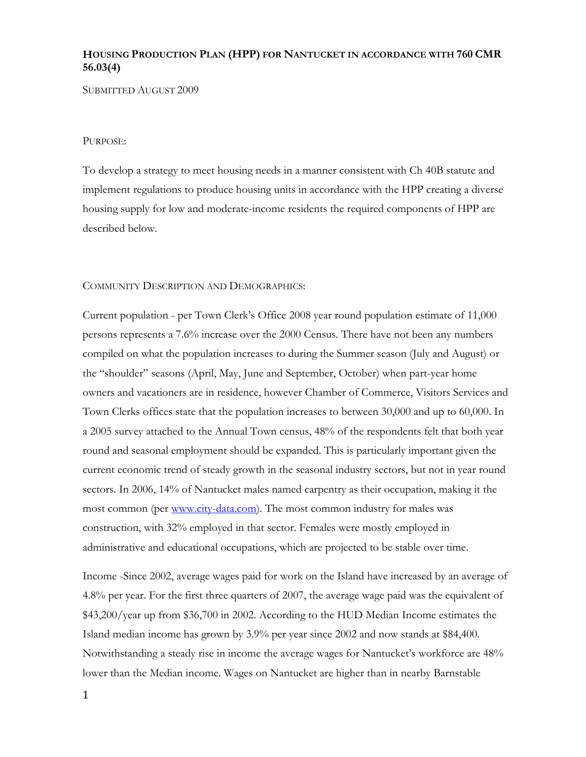## **HOUSING PRODUCTION PLAN (HPP) FOR NANTUCKET IN ACCORDANCE WITH 760 CMR 56.03(4)**

SUBMITTED AUGUST 2009

#### PURPOSE:

To develop a strategy to meet housing needs in a manner consistent with Ch 40B statute and implement regulations to produce housing units in accordance with the HPP creating a diverse housing supply for low and moderate-income residents the required components of HPP are described below.

#### COMMUNITY DESCRIPTION AND DEMOGRAPHICS:

Current population - per Town Clerk's Office 2008 year round population estimate of 11,000 persons represents a 7.6% increase over the 2000 Census. There have not been any numbers compiled on what the population increases to during the Summer season (July and August) or the "shoulder" seasons (April, May, June and September, October) when part-year home owners and vacationers are in residence, however Chamber of Commerce, Visitors Services and Town Clerks offices state that the population increases to between 30,000 and up to 60,000. In a 2005 survey attached to the Annual Town census, 48% of the respondents felt that both year round and seasonal employment should be expanded. This is particularly important given the current economic trend of steady growth in the seasonal industry sectors, but not in year round sectors. In 2006, 14% of Nantucket males named carpentry as their occupation, making it the most common (per www.city-data.com). The most common industry for males was construction, with 32% employed in that sector. Females were mostly employed in administrative and educational occupations, which are projected to be stable over time.

Income -Since 2002, average wages paid for work on the Island have increased by an average of 4.8% per year. For the first three quarters of 2007, the average wage paid was the equivalent of \$43,200/year up from \$36,700 in 2002. According to the HUD Median Income estimates the Island median income has grown by 3.9% per year since 2002 and now stands at \$84,400. Notwithstanding a steady rise in income the average wages for Nantucket's workforce are 48% lower than the Median income. Wages on Nantucket are higher than in nearby Barnstable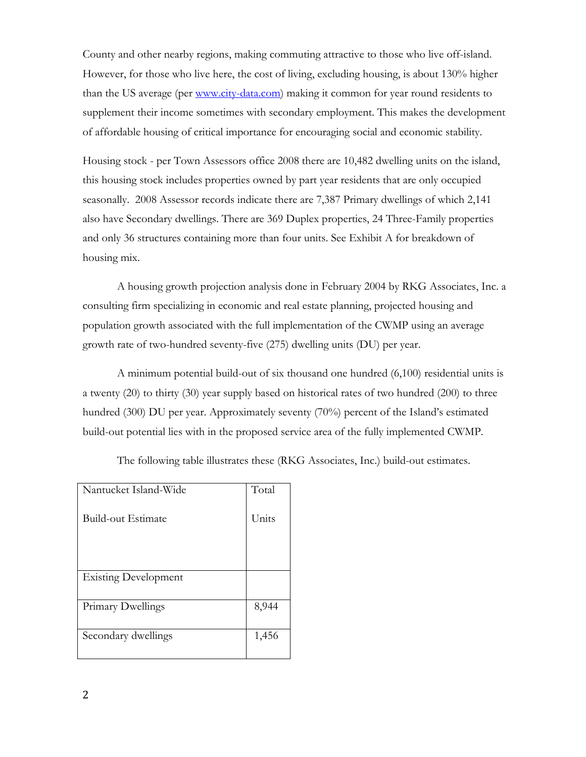County and other nearby regions, making commuting attractive to those who live off-island. However, for those who live here, the cost of living, excluding housing, is about 130% higher than the US average (per www.city-data.com) making it common for year round residents to supplement their income sometimes with secondary employment. This makes the development of affordable housing of critical importance for encouraging social and economic stability.

Housing stock - per Town Assessors office 2008 there are 10,482 dwelling units on the island, this housing stock includes properties owned by part year residents that are only occupied seasonally. 2008 Assessor records indicate there are 7,387 Primary dwellings of which 2,141 also have Secondary dwellings. There are 369 Duplex properties, 24 Three-Family properties and only 36 structures containing more than four units. See Exhibit A for breakdown of housing mix.

 A housing growth projection analysis done in February 2004 by RKG Associates, Inc. a consulting firm specializing in economic and real estate planning, projected housing and population growth associated with the full implementation of the CWMP using an average growth rate of two-hundred seventy-five (275) dwelling units (DU) per year.

 A minimum potential build-out of six thousand one hundred (6,100) residential units is a twenty (20) to thirty (30) year supply based on historical rates of two hundred (200) to three hundred (300) DU per year. Approximately seventy (70%) percent of the Island's estimated build-out potential lies with in the proposed service area of the fully implemented CWMP.

| Nantucket Island-Wide       | Total |
|-----------------------------|-------|
| Build-out Estimate          | Units |
|                             |       |
|                             |       |
| <b>Existing Development</b> |       |
|                             |       |
| Primary Dwellings           | 8,944 |

The following table illustrates these (RKG Associates, Inc.) build-out estimates.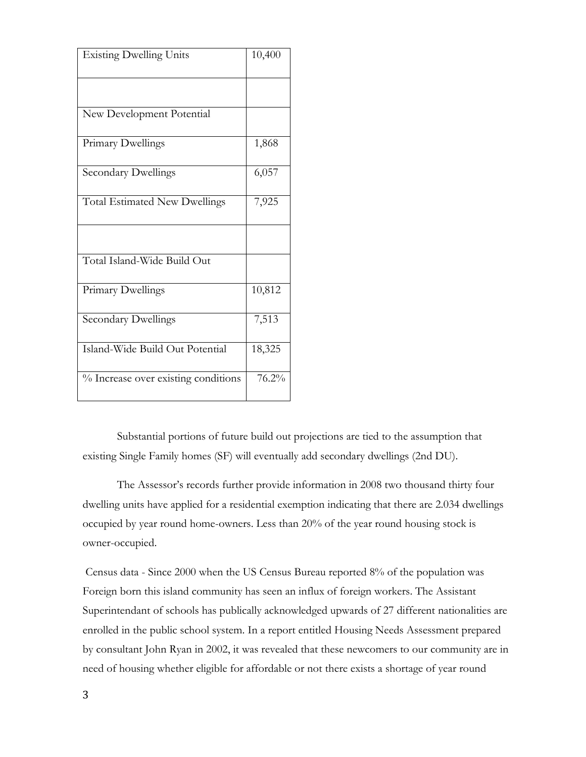| <b>Existing Dwelling Units</b>       | 10,400 |
|--------------------------------------|--------|
|                                      |        |
| New Development Potential            |        |
| Primary Dwellings                    | 1,868  |
| <b>Secondary Dwellings</b>           | 6,057  |
| <b>Total Estimated New Dwellings</b> | 7,925  |
|                                      |        |
| Total Island-Wide Build Out          |        |
| Primary Dwellings                    | 10,812 |
| <b>Secondary Dwellings</b>           | 7,513  |
| Island-Wide Build Out Potential      | 18,325 |
| % Increase over existing conditions  | 76.2%  |

 Substantial portions of future build out projections are tied to the assumption that existing Single Family homes (SF) will eventually add secondary dwellings (2nd DU).

 The Assessor's records further provide information in 2008 two thousand thirty four dwelling units have applied for a residential exemption indicating that there are 2.034 dwellings occupied by year round home-owners. Less than 20% of the year round housing stock is owner-occupied.

 Census data - Since 2000 when the US Census Bureau reported 8% of the population was Foreign born this island community has seen an influx of foreign workers. The Assistant Superintendant of schools has publically acknowledged upwards of 27 different nationalities are enrolled in the public school system. In a report entitled Housing Needs Assessment prepared by consultant John Ryan in 2002, it was revealed that these newcomers to our community are in need of housing whether eligible for affordable or not there exists a shortage of year round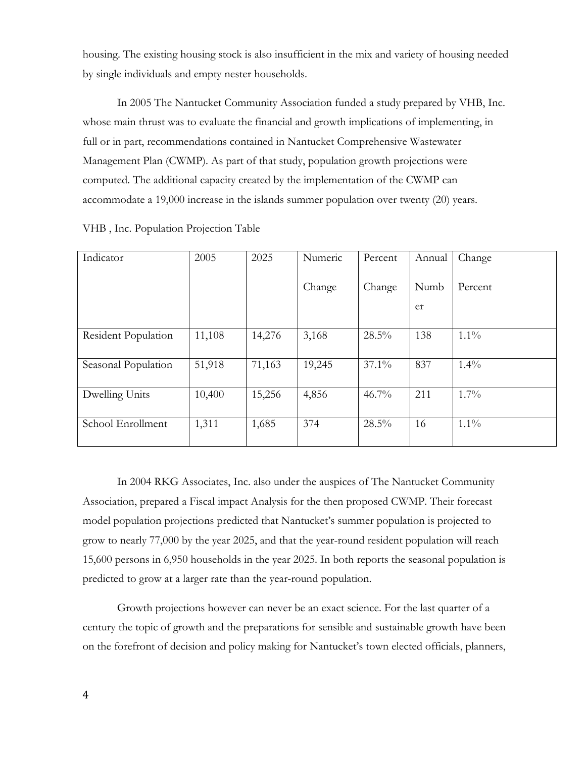housing. The existing housing stock is also insufficient in the mix and variety of housing needed by single individuals and empty nester households.

 In 2005 The Nantucket Community Association funded a study prepared by VHB, Inc. whose main thrust was to evaluate the financial and growth implications of implementing, in full or in part, recommendations contained in Nantucket Comprehensive Wastewater Management Plan (CWMP). As part of that study, population growth projections were computed. The additional capacity created by the implementation of the CWMP can accommodate a 19,000 increase in the islands summer population over twenty (20) years.

| Indicator           | 2005   | 2025   | Numeric | Percent  | Annual | Change  |
|---------------------|--------|--------|---------|----------|--------|---------|
|                     |        |        |         |          |        |         |
|                     |        |        |         |          |        |         |
|                     |        |        | Change  | Change   | Numb   | Percent |
|                     |        |        |         |          | er     |         |
|                     |        |        |         |          |        |         |
| Resident Population | 11,108 | 14,276 | 3,168   | $28.5\%$ | 138    | $1.1\%$ |
|                     |        |        |         |          |        |         |
| Seasonal Population | 51,918 | 71,163 | 19,245  | $37.1\%$ | 837    | $1.4\%$ |
|                     |        |        |         |          |        |         |
| Dwelling Units      | 10,400 | 15,256 | 4,856   | $46.7\%$ | 211    | $1.7\%$ |
|                     |        |        |         |          |        |         |
| School Enrollment   | 1,311  | 1,685  | 374     | 28.5%    | 16     | $1.1\%$ |
|                     |        |        |         |          |        |         |

VHB , Inc. Population Projection Table

 In 2004 RKG Associates, Inc. also under the auspices of The Nantucket Community Association, prepared a Fiscal impact Analysis for the then proposed CWMP. Their forecast model population projections predicted that Nantucket's summer population is projected to grow to nearly 77,000 by the year 2025, and that the year-round resident population will reach 15,600 persons in 6,950 households in the year 2025. In both reports the seasonal population is predicted to grow at a larger rate than the year-round population.

 Growth projections however can never be an exact science. For the last quarter of a century the topic of growth and the preparations for sensible and sustainable growth have been on the forefront of decision and policy making for Nantucket's town elected officials, planners,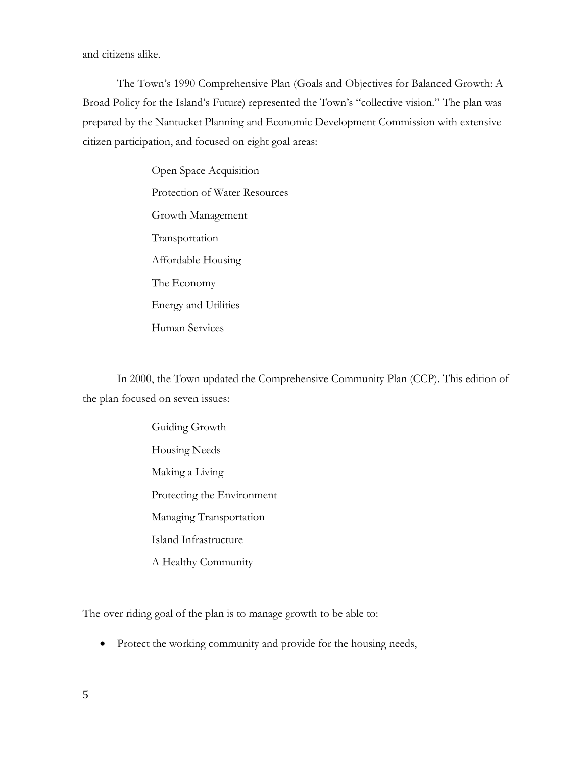and citizens alike.

 The Town's 1990 Comprehensive Plan (Goals and Objectives for Balanced Growth: A Broad Policy for the Island's Future) represented the Town's "collective vision." The plan was prepared by the Nantucket Planning and Economic Development Commission with extensive citizen participation, and focused on eight goal areas:

> Open Space Acquisition Protection of Water Resources Growth Management Transportation Affordable Housing The Economy Energy and Utilities Human Services

 In 2000, the Town updated the Comprehensive Community Plan (CCP). This edition of the plan focused on seven issues:

> Guiding Growth Housing Needs Making a Living Protecting the Environment Managing Transportation Island Infrastructure A Healthy Community

The over riding goal of the plan is to manage growth to be able to:

• Protect the working community and provide for the housing needs,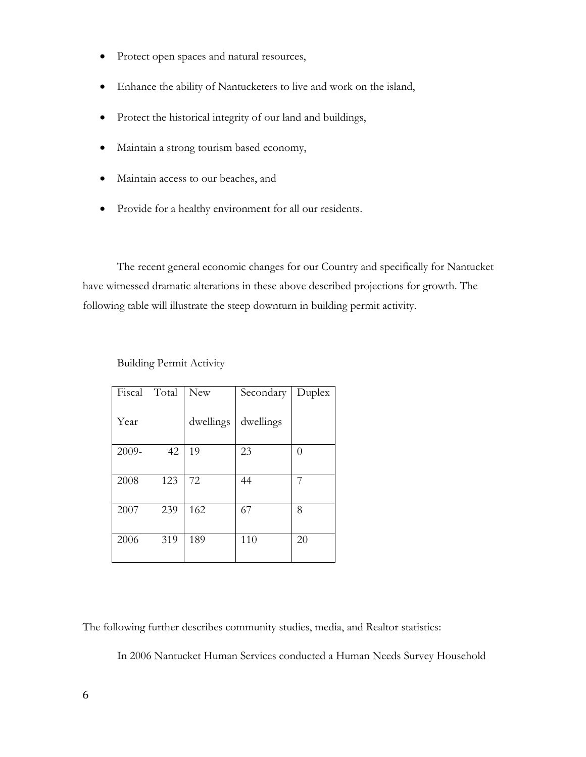- Protect open spaces and natural resources,
- Enhance the ability of Nantucketers to live and work on the island,
- Protect the historical integrity of our land and buildings,
- Maintain a strong tourism based economy,
- Maintain access to our beaches, and
- Provide for a healthy environment for all our residents.

 The recent general economic changes for our Country and specifically for Nantucket have witnessed dramatic alterations in these above described projections for growth. The following table will illustrate the steep downturn in building permit activity.

| Fiscal | Total | New       | Secondary | Duplex |
|--------|-------|-----------|-----------|--------|
| Year   |       | dwellings | dwellings |        |
| 2009-  | 42    | 19        | 23        | 0      |
|        |       |           |           |        |
| 2008   | 123   | 72        | 44        | 7      |
|        |       |           |           |        |
| 2007   | 239   | 162       | 67        | 8      |
|        |       |           |           |        |
| 2006   | 319   | 189       | 110       | 20     |
|        |       |           |           |        |

Building Permit Activity

The following further describes community studies, media, and Realtor statistics:

In 2006 Nantucket Human Services conducted a Human Needs Survey Household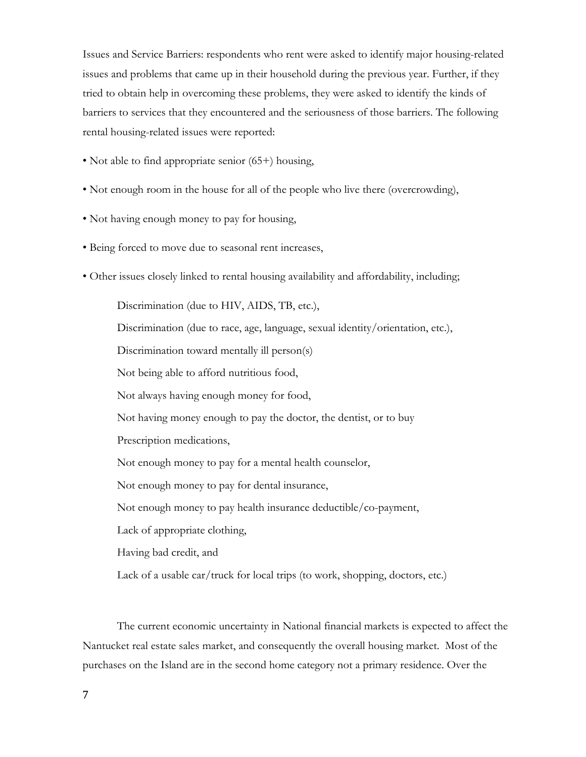Issues and Service Barriers: respondents who rent were asked to identify major housing-related issues and problems that came up in their household during the previous year. Further, if they tried to obtain help in overcoming these problems, they were asked to identify the kinds of barriers to services that they encountered and the seriousness of those barriers. The following rental housing-related issues were reported:

- Not able to find appropriate senior (65+) housing,
- Not enough room in the house for all of the people who live there (overcrowding),
- Not having enough money to pay for housing,
- Being forced to move due to seasonal rent increases,
- Other issues closely linked to rental housing availability and affordability, including;

Discrimination (due to HIV, AIDS, TB, etc.), Discrimination (due to race, age, language, sexual identity/orientation, etc.), Discrimination toward mentally ill person(s) Not being able to afford nutritious food, Not always having enough money for food, Not having money enough to pay the doctor, the dentist, or to buy Prescription medications, Not enough money to pay for a mental health counselor, Not enough money to pay for dental insurance, Not enough money to pay health insurance deductible/co-payment, Lack of appropriate clothing, Having bad credit, and

Lack of a usable car/truck for local trips (to work, shopping, doctors, etc.)

 The current economic uncertainty in National financial markets is expected to affect the Nantucket real estate sales market, and consequently the overall housing market. Most of the purchases on the Island are in the second home category not a primary residence. Over the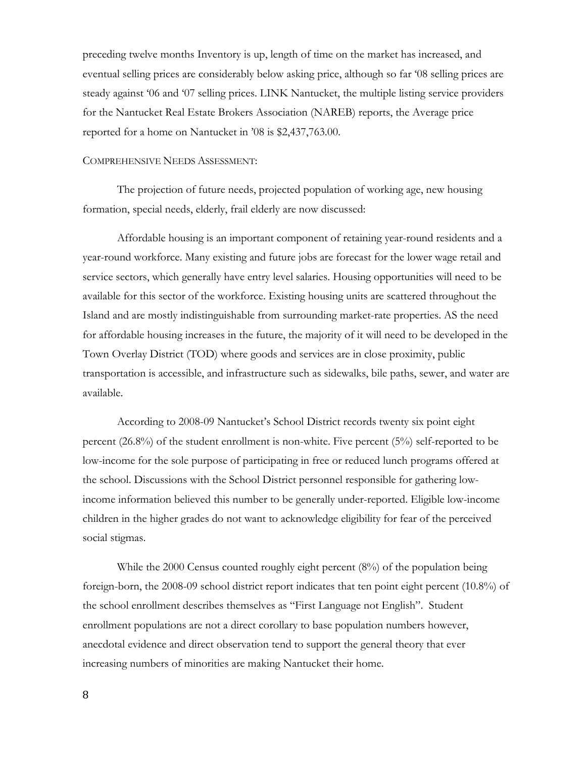preceding twelve months Inventory is up, length of time on the market has increased, and eventual selling prices are considerably below asking price, although so far '08 selling prices are steady against '06 and '07 selling prices. LINK Nantucket, the multiple listing service providers for the Nantucket Real Estate Brokers Association (NAREB) reports, the Average price reported for a home on Nantucket in '08 is \$2,437,763.00.

#### COMPREHENSIVE NEEDS ASSESSMENT:

 The projection of future needs, projected population of working age, new housing formation, special needs, elderly, frail elderly are now discussed:

 Affordable housing is an important component of retaining year-round residents and a year-round workforce. Many existing and future jobs are forecast for the lower wage retail and service sectors, which generally have entry level salaries. Housing opportunities will need to be available for this sector of the workforce. Existing housing units are scattered throughout the Island and are mostly indistinguishable from surrounding market-rate properties. AS the need for affordable housing increases in the future, the majority of it will need to be developed in the Town Overlay District (TOD) where goods and services are in close proximity, public transportation is accessible, and infrastructure such as sidewalks, bile paths, sewer, and water are available.

 According to 2008-09 Nantucket's School District records twenty six point eight percent (26.8%) of the student enrollment is non-white. Five percent (5%) self-reported to be low-income for the sole purpose of participating in free or reduced lunch programs offered at the school. Discussions with the School District personnel responsible for gathering lowincome information believed this number to be generally under-reported. Eligible low-income children in the higher grades do not want to acknowledge eligibility for fear of the perceived social stigmas.

While the 2000 Census counted roughly eight percent (8%) of the population being foreign-born, the 2008-09 school district report indicates that ten point eight percent (10.8%) of the school enrollment describes themselves as "First Language not English". Student enrollment populations are not a direct corollary to base population numbers however, anecdotal evidence and direct observation tend to support the general theory that ever increasing numbers of minorities are making Nantucket their home.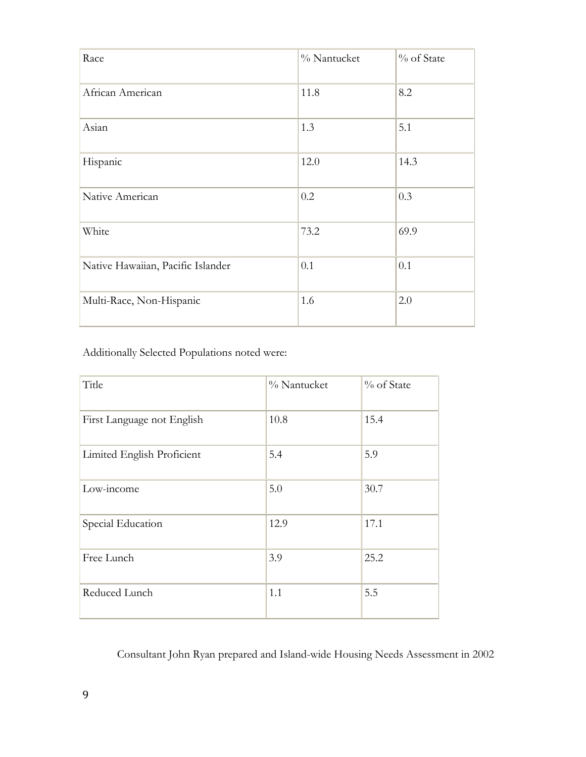| Race                              | % Nantucket | % of State |
|-----------------------------------|-------------|------------|
| African American                  | 11.8        | 8.2        |
| Asian                             | 1.3         | 5.1        |
| Hispanic                          | 12.0        | 14.3       |
| Native American                   | 0.2         | 0.3        |
| White                             | 73.2        | 69.9       |
| Native Hawaiian, Pacific Islander | 0.1         | 0.1        |
| Multi-Race, Non-Hispanic          | 1.6         | 2.0        |

Additionally Selected Populations noted were:

| Title                      | % Nantucket | % of State |
|----------------------------|-------------|------------|
| First Language not English | 10.8        | 15.4       |
| Limited English Proficient | 5.4         | 5.9        |
| Low-income                 | 5.0         | 30.7       |
| Special Education          | 12.9        | 17.1       |
| Free Lunch                 | 3.9         | 25.2       |
| Reduced Lunch              | 1.1         | 5.5        |

Consultant John Ryan prepared and Island-wide Housing Needs Assessment in 2002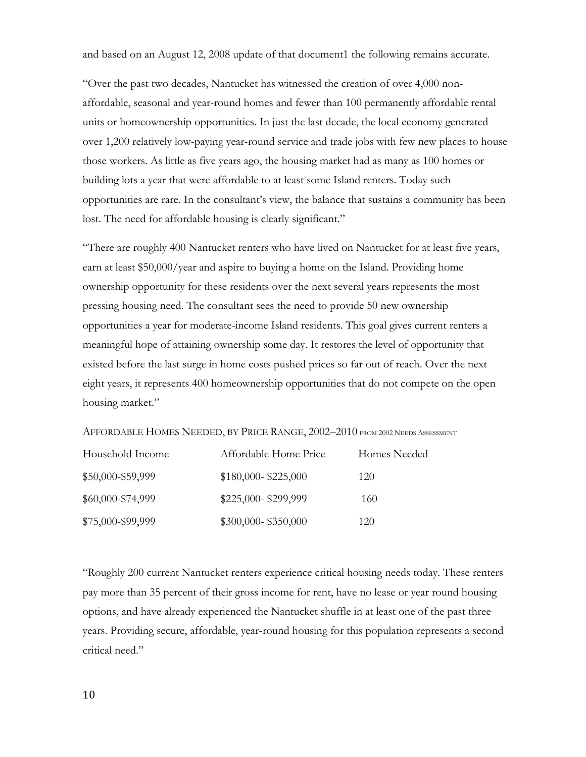and based on an August 12, 2008 update of that document1 the following remains accurate.

"Over the past two decades, Nantucket has witnessed the creation of over 4,000 nonaffordable, seasonal and year-round homes and fewer than 100 permanently affordable rental units or homeownership opportunities. In just the last decade, the local economy generated over 1,200 relatively low-paying year-round service and trade jobs with few new places to house those workers. As little as five years ago, the housing market had as many as 100 homes or building lots a year that were affordable to at least some Island renters. Today such opportunities are rare. In the consultant's view, the balance that sustains a community has been lost. The need for affordable housing is clearly significant."

"There are roughly 400 Nantucket renters who have lived on Nantucket for at least five years, earn at least \$50,000/year and aspire to buying a home on the Island. Providing home ownership opportunity for these residents over the next several years represents the most pressing housing need. The consultant sees the need to provide 50 new ownership opportunities a year for moderate-income Island residents. This goal gives current renters a meaningful hope of attaining ownership some day. It restores the level of opportunity that existed before the last surge in home costs pushed prices so far out of reach. Over the next eight years, it represents 400 homeownership opportunities that do not compete on the open housing market."

AFFORDABLE HOMES NEEDED, BY PRICE RANGE, 2002–2010 FROM 2002 NEEDS ASSESSMENT

| Household Income  | Affordable Home Price | Homes Needed |
|-------------------|-----------------------|--------------|
| \$50,000-\$59,999 | $$180,000 - $225,000$ | 120          |
| \$60,000-\$74,999 | \$225,000-\$299,999   | 160          |
| \$75,000-\$99,999 | \$300,000-\$350,000   | 120          |

"Roughly 200 current Nantucket renters experience critical housing needs today. These renters pay more than 35 percent of their gross income for rent, have no lease or year round housing options, and have already experienced the Nantucket shuffle in at least one of the past three years. Providing secure, affordable, year-round housing for this population represents a second critical need."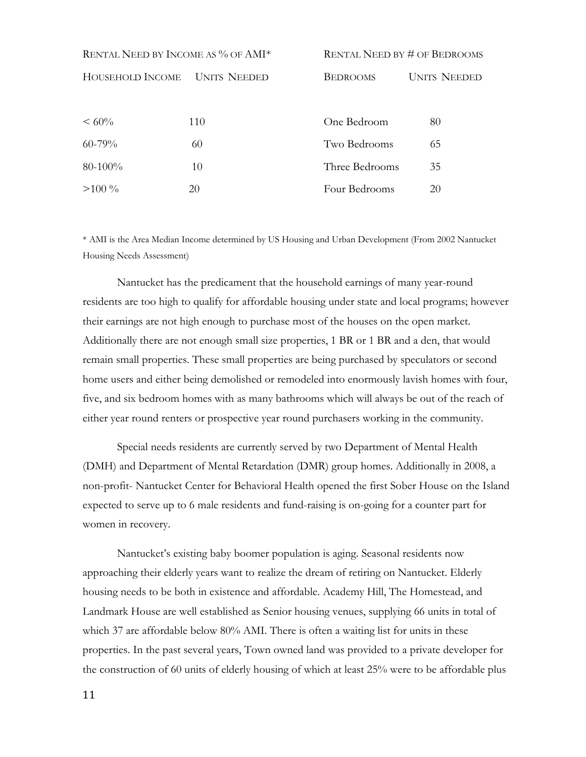| RENTAL NEED BY INCOME AS % OF AMI* |                     | <b>RENTAL NEED BY # OF BEDROOMS</b>    |    |  |
|------------------------------------|---------------------|----------------------------------------|----|--|
| HOUSEHOLD INCOME                   | <b>UNITS NEEDED</b> | <b>BEDROOMS</b><br><b>UNITS NEEDED</b> |    |  |
|                                    |                     |                                        |    |  |
| $~< 60\%$                          | 110                 | One Bedroom                            | 80 |  |
| $60 - 79%$                         | 60                  | Two Bedrooms                           | 65 |  |
| $80-100%$                          | 10                  | Three Bedrooms                         | 35 |  |
| $>100\%$                           | 20                  | Four Bedrooms                          | 20 |  |

\* AMI is the Area Median Income determined by US Housing and Urban Development (From 2002 Nantucket Housing Needs Assessment)

 Nantucket has the predicament that the household earnings of many year-round residents are too high to qualify for affordable housing under state and local programs; however their earnings are not high enough to purchase most of the houses on the open market. Additionally there are not enough small size properties, 1 BR or 1 BR and a den, that would remain small properties. These small properties are being purchased by speculators or second home users and either being demolished or remodeled into enormously lavish homes with four, five, and six bedroom homes with as many bathrooms which will always be out of the reach of either year round renters or prospective year round purchasers working in the community.

 Special needs residents are currently served by two Department of Mental Health (DMH) and Department of Mental Retardation (DMR) group homes. Additionally in 2008, a non-profit- Nantucket Center for Behavioral Health opened the first Sober House on the Island expected to serve up to 6 male residents and fund-raising is on-going for a counter part for women in recovery.

 Nantucket's existing baby boomer population is aging. Seasonal residents now approaching their elderly years want to realize the dream of retiring on Nantucket. Elderly housing needs to be both in existence and affordable. Academy Hill, The Homestead, and Landmark House are well established as Senior housing venues, supplying 66 units in total of which 37 are affordable below 80% AMI. There is often a waiting list for units in these properties. In the past several years, Town owned land was provided to a private developer for the construction of 60 units of elderly housing of which at least 25% were to be affordable plus

11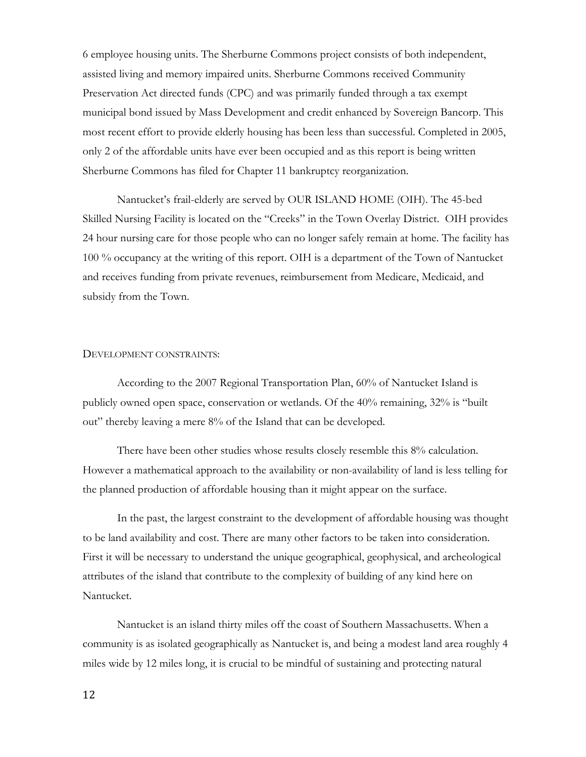6 employee housing units. The Sherburne Commons project consists of both independent, assisted living and memory impaired units. Sherburne Commons received Community Preservation Act directed funds (CPC) and was primarily funded through a tax exempt municipal bond issued by Mass Development and credit enhanced by Sovereign Bancorp. This most recent effort to provide elderly housing has been less than successful. Completed in 2005, only 2 of the affordable units have ever been occupied and as this report is being written Sherburne Commons has filed for Chapter 11 bankruptcy reorganization.

 Nantucket's frail-elderly are served by OUR ISLAND HOME (OIH). The 45-bed Skilled Nursing Facility is located on the "Creeks" in the Town Overlay District. OIH provides 24 hour nursing care for those people who can no longer safely remain at home. The facility has 100 % occupancy at the writing of this report. OIH is a department of the Town of Nantucket and receives funding from private revenues, reimbursement from Medicare, Medicaid, and subsidy from the Town.

#### DEVELOPMENT CONSTRAINTS:

 According to the 2007 Regional Transportation Plan, 60% of Nantucket Island is publicly owned open space, conservation or wetlands. Of the 40% remaining, 32% is "built out" thereby leaving a mere 8% of the Island that can be developed.

 There have been other studies whose results closely resemble this 8% calculation. However a mathematical approach to the availability or non-availability of land is less telling for the planned production of affordable housing than it might appear on the surface.

 In the past, the largest constraint to the development of affordable housing was thought to be land availability and cost. There are many other factors to be taken into consideration. First it will be necessary to understand the unique geographical, geophysical, and archeological attributes of the island that contribute to the complexity of building of any kind here on Nantucket.

 Nantucket is an island thirty miles off the coast of Southern Massachusetts. When a community is as isolated geographically as Nantucket is, and being a modest land area roughly 4 miles wide by 12 miles long, it is crucial to be mindful of sustaining and protecting natural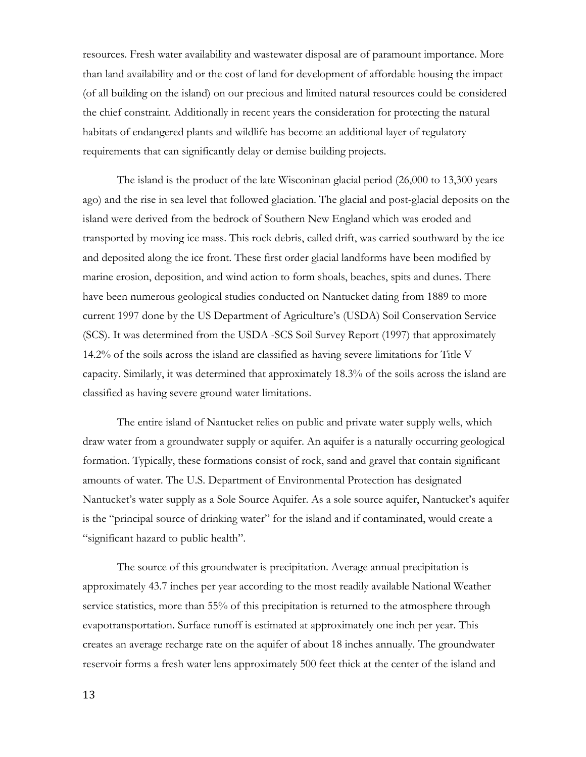resources. Fresh water availability and wastewater disposal are of paramount importance. More than land availability and or the cost of land for development of affordable housing the impact (of all building on the island) on our precious and limited natural resources could be considered the chief constraint. Additionally in recent years the consideration for protecting the natural habitats of endangered plants and wildlife has become an additional layer of regulatory requirements that can significantly delay or demise building projects.

 The island is the product of the late Wisconinan glacial period (26,000 to 13,300 years ago) and the rise in sea level that followed glaciation. The glacial and post-glacial deposits on the island were derived from the bedrock of Southern New England which was eroded and transported by moving ice mass. This rock debris, called drift, was carried southward by the ice and deposited along the ice front. These first order glacial landforms have been modified by marine erosion, deposition, and wind action to form shoals, beaches, spits and dunes. There have been numerous geological studies conducted on Nantucket dating from 1889 to more current 1997 done by the US Department of Agriculture's (USDA) Soil Conservation Service (SCS). It was determined from the USDA -SCS Soil Survey Report (1997) that approximately 14.2% of the soils across the island are classified as having severe limitations for Title V capacity. Similarly, it was determined that approximately 18.3% of the soils across the island are classified as having severe ground water limitations.

 The entire island of Nantucket relies on public and private water supply wells, which draw water from a groundwater supply or aquifer. An aquifer is a naturally occurring geological formation. Typically, these formations consist of rock, sand and gravel that contain significant amounts of water. The U.S. Department of Environmental Protection has designated Nantucket's water supply as a Sole Source Aquifer. As a sole source aquifer, Nantucket's aquifer is the "principal source of drinking water" for the island and if contaminated, would create a "significant hazard to public health".

 The source of this groundwater is precipitation. Average annual precipitation is approximately 43.7 inches per year according to the most readily available National Weather service statistics, more than 55% of this precipitation is returned to the atmosphere through evapotransportation. Surface runoff is estimated at approximately one inch per year. This creates an average recharge rate on the aquifer of about 18 inches annually. The groundwater reservoir forms a fresh water lens approximately 500 feet thick at the center of the island and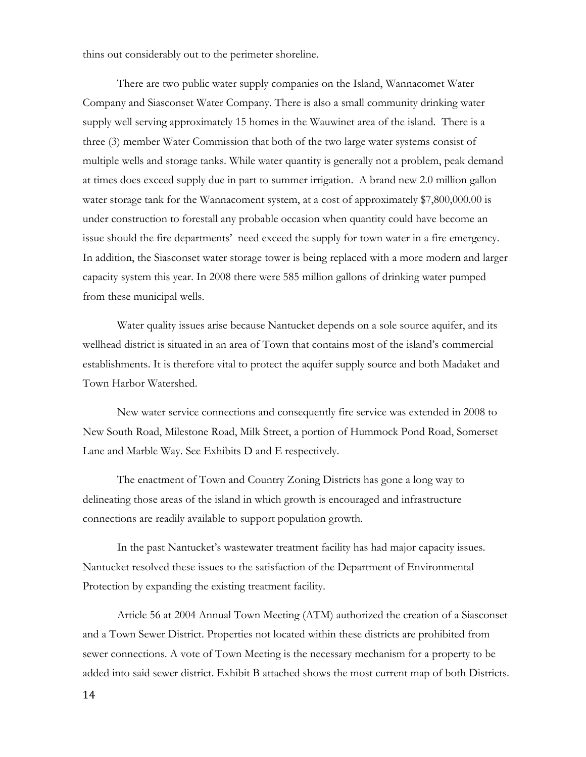thins out considerably out to the perimeter shoreline.

 There are two public water supply companies on the Island, Wannacomet Water Company and Siasconset Water Company. There is also a small community drinking water supply well serving approximately 15 homes in the Wauwinet area of the island. There is a three (3) member Water Commission that both of the two large water systems consist of multiple wells and storage tanks. While water quantity is generally not a problem, peak demand at times does exceed supply due in part to summer irrigation. A brand new 2.0 million gallon water storage tank for the Wannacoment system, at a cost of approximately \$7,800,000.00 is under construction to forestall any probable occasion when quantity could have become an issue should the fire departments' need exceed the supply for town water in a fire emergency. In addition, the Siasconset water storage tower is being replaced with a more modern and larger capacity system this year. In 2008 there were 585 million gallons of drinking water pumped from these municipal wells.

 Water quality issues arise because Nantucket depends on a sole source aquifer, and its wellhead district is situated in an area of Town that contains most of the island's commercial establishments. It is therefore vital to protect the aquifer supply source and both Madaket and Town Harbor Watershed.

 New water service connections and consequently fire service was extended in 2008 to New South Road, Milestone Road, Milk Street, a portion of Hummock Pond Road, Somerset Lane and Marble Way. See Exhibits D and E respectively.

 The enactment of Town and Country Zoning Districts has gone a long way to delineating those areas of the island in which growth is encouraged and infrastructure connections are readily available to support population growth.

 In the past Nantucket's wastewater treatment facility has had major capacity issues. Nantucket resolved these issues to the satisfaction of the Department of Environmental Protection by expanding the existing treatment facility.

 Article 56 at 2004 Annual Town Meeting (ATM) authorized the creation of a Siasconset and a Town Sewer District. Properties not located within these districts are prohibited from sewer connections. A vote of Town Meeting is the necessary mechanism for a property to be added into said sewer district. Exhibit B attached shows the most current map of both Districts.

14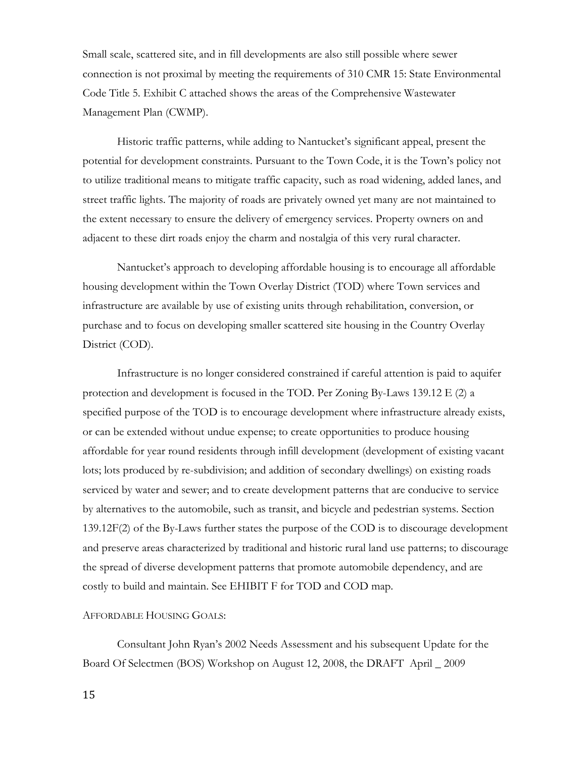Small scale, scattered site, and in fill developments are also still possible where sewer connection is not proximal by meeting the requirements of 310 CMR 15: State Environmental Code Title 5. Exhibit C attached shows the areas of the Comprehensive Wastewater Management Plan (CWMP).

 Historic traffic patterns, while adding to Nantucket's significant appeal, present the potential for development constraints. Pursuant to the Town Code, it is the Town's policy not to utilize traditional means to mitigate traffic capacity, such as road widening, added lanes, and street traffic lights. The majority of roads are privately owned yet many are not maintained to the extent necessary to ensure the delivery of emergency services. Property owners on and adjacent to these dirt roads enjoy the charm and nostalgia of this very rural character.

 Nantucket's approach to developing affordable housing is to encourage all affordable housing development within the Town Overlay District (TOD) where Town services and infrastructure are available by use of existing units through rehabilitation, conversion, or purchase and to focus on developing smaller scattered site housing in the Country Overlay District (COD).

 Infrastructure is no longer considered constrained if careful attention is paid to aquifer protection and development is focused in the TOD. Per Zoning By-Laws 139.12 E (2) a specified purpose of the TOD is to encourage development where infrastructure already exists, or can be extended without undue expense; to create opportunities to produce housing affordable for year round residents through infill development (development of existing vacant lots; lots produced by re-subdivision; and addition of secondary dwellings) on existing roads serviced by water and sewer; and to create development patterns that are conducive to service by alternatives to the automobile, such as transit, and bicycle and pedestrian systems. Section 139.12F(2) of the By-Laws further states the purpose of the COD is to discourage development and preserve areas characterized by traditional and historic rural land use patterns; to discourage the spread of diverse development patterns that promote automobile dependency, and are costly to build and maintain. See EHIBIT F for TOD and COD map.

### AFFORDABLE HOUSING GOALS:

 Consultant John Ryan's 2002 Needs Assessment and his subsequent Update for the Board Of Selectmen (BOS) Workshop on August 12, 2008, the DRAFT April \_ 2009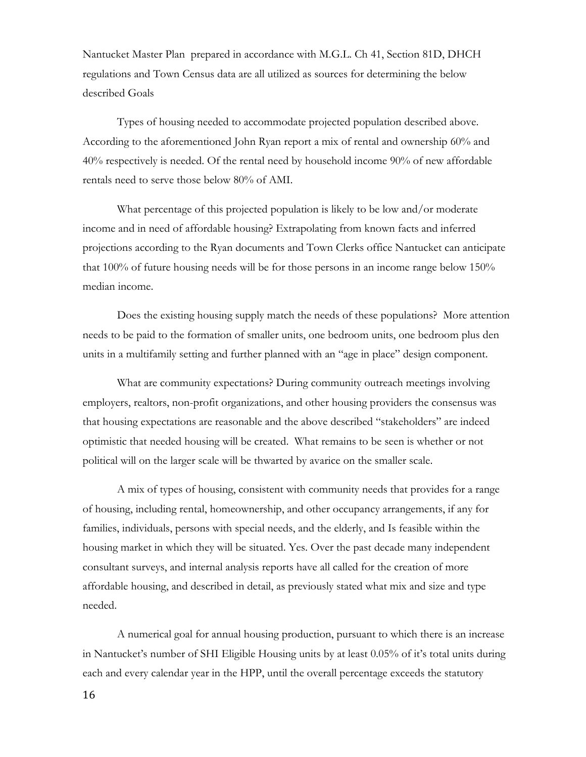Nantucket Master Plan prepared in accordance with M.G.L. Ch 41, Section 81D, DHCH regulations and Town Census data are all utilized as sources for determining the below described Goals

 Types of housing needed to accommodate projected population described above. According to the aforementioned John Ryan report a mix of rental and ownership 60% and 40% respectively is needed. Of the rental need by household income 90% of new affordable rentals need to serve those below 80% of AMI.

What percentage of this projected population is likely to be low and/or moderate income and in need of affordable housing? Extrapolating from known facts and inferred projections according to the Ryan documents and Town Clerks office Nantucket can anticipate that 100% of future housing needs will be for those persons in an income range below 150% median income.

 Does the existing housing supply match the needs of these populations? More attention needs to be paid to the formation of smaller units, one bedroom units, one bedroom plus den units in a multifamily setting and further planned with an "age in place" design component.

 What are community expectations? During community outreach meetings involving employers, realtors, non-profit organizations, and other housing providers the consensus was that housing expectations are reasonable and the above described "stakeholders" are indeed optimistic that needed housing will be created. What remains to be seen is whether or not political will on the larger scale will be thwarted by avarice on the smaller scale.

 A mix of types of housing, consistent with community needs that provides for a range of housing, including rental, homeownership, and other occupancy arrangements, if any for families, individuals, persons with special needs, and the elderly, and Is feasible within the housing market in which they will be situated. Yes. Over the past decade many independent consultant surveys, and internal analysis reports have all called for the creation of more affordable housing, and described in detail, as previously stated what mix and size and type needed.

 A numerical goal for annual housing production, pursuant to which there is an increase in Nantucket's number of SHI Eligible Housing units by at least 0.05% of it's total units during each and every calendar year in the HPP, until the overall percentage exceeds the statutory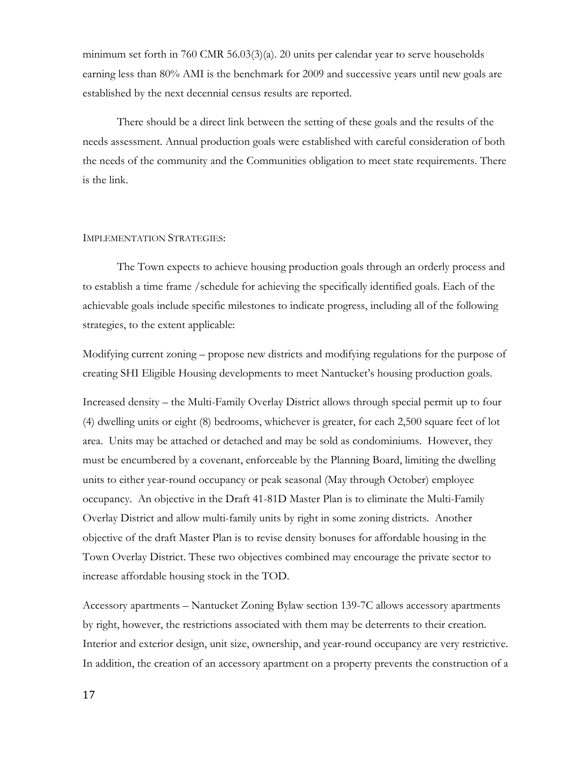minimum set forth in 760 CMR 56.03(3)(a). 20 units per calendar year to serve households earning less than 80% AMI is the benchmark for 2009 and successive years until new goals are established by the next decennial census results are reported.

 There should be a direct link between the setting of these goals and the results of the needs assessment. Annual production goals were established with careful consideration of both the needs of the community and the Communities obligation to meet state requirements. There is the link.

#### IMPLEMENTATION STRATEGIES:

 The Town expects to achieve housing production goals through an orderly process and to establish a time frame /schedule for achieving the specifically identified goals. Each of the achievable goals include specific milestones to indicate progress, including all of the following strategies, to the extent applicable:

Modifying current zoning – propose new districts and modifying regulations for the purpose of creating SHI Eligible Housing developments to meet Nantucket's housing production goals.

Increased density – the Multi-Family Overlay District allows through special permit up to four (4) dwelling units or eight (8) bedrooms, whichever is greater, for each 2,500 square feet of lot area. Units may be attached or detached and may be sold as condominiums. However, they must be encumbered by a covenant, enforceable by the Planning Board, limiting the dwelling units to either year-round occupancy or peak seasonal (May through October) employee occupancy. An objective in the Draft 41-81D Master Plan is to eliminate the Multi-Family Overlay District and allow multi-family units by right in some zoning districts. Another objective of the draft Master Plan is to revise density bonuses for affordable housing in the Town Overlay District. These two objectives combined may encourage the private sector to increase affordable housing stock in the TOD.

Accessory apartments – Nantucket Zoning Bylaw section 139-7C allows accessory apartments by right, however, the restrictions associated with them may be deterrents to their creation. Interior and exterior design, unit size, ownership, and year-round occupancy are very restrictive. In addition, the creation of an accessory apartment on a property prevents the construction of a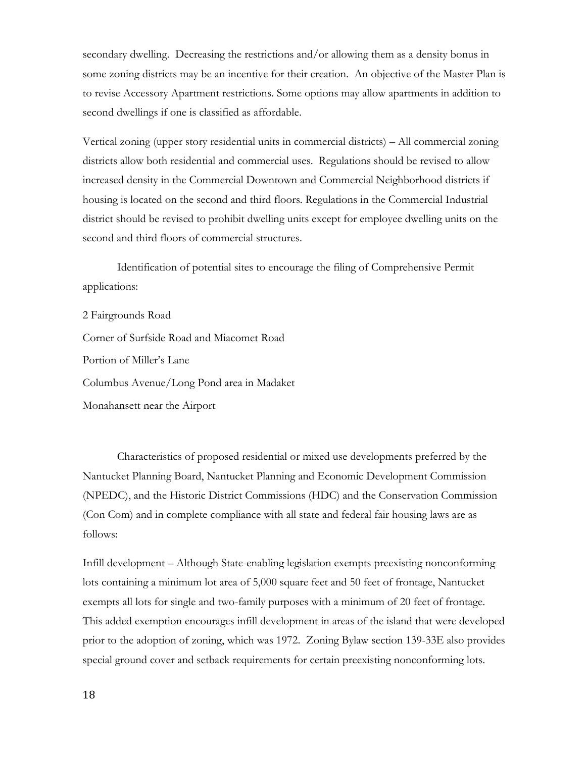secondary dwelling. Decreasing the restrictions and/or allowing them as a density bonus in some zoning districts may be an incentive for their creation. An objective of the Master Plan is to revise Accessory Apartment restrictions. Some options may allow apartments in addition to second dwellings if one is classified as affordable.

Vertical zoning (upper story residential units in commercial districts) – All commercial zoning districts allow both residential and commercial uses. Regulations should be revised to allow increased density in the Commercial Downtown and Commercial Neighborhood districts if housing is located on the second and third floors. Regulations in the Commercial Industrial district should be revised to prohibit dwelling units except for employee dwelling units on the second and third floors of commercial structures.

 Identification of potential sites to encourage the filing of Comprehensive Permit applications:

2 Fairgrounds Road Corner of Surfside Road and Miacomet Road Portion of Miller's Lane Columbus Avenue/Long Pond area in Madaket Monahansett near the Airport

 Characteristics of proposed residential or mixed use developments preferred by the Nantucket Planning Board, Nantucket Planning and Economic Development Commission (NPEDC), and the Historic District Commissions (HDC) and the Conservation Commission (Con Com) and in complete compliance with all state and federal fair housing laws are as follows:

Infill development – Although State-enabling legislation exempts preexisting nonconforming lots containing a minimum lot area of 5,000 square feet and 50 feet of frontage, Nantucket exempts all lots for single and two-family purposes with a minimum of 20 feet of frontage. This added exemption encourages infill development in areas of the island that were developed prior to the adoption of zoning, which was 1972. Zoning Bylaw section 139-33E also provides special ground cover and setback requirements for certain preexisting nonconforming lots.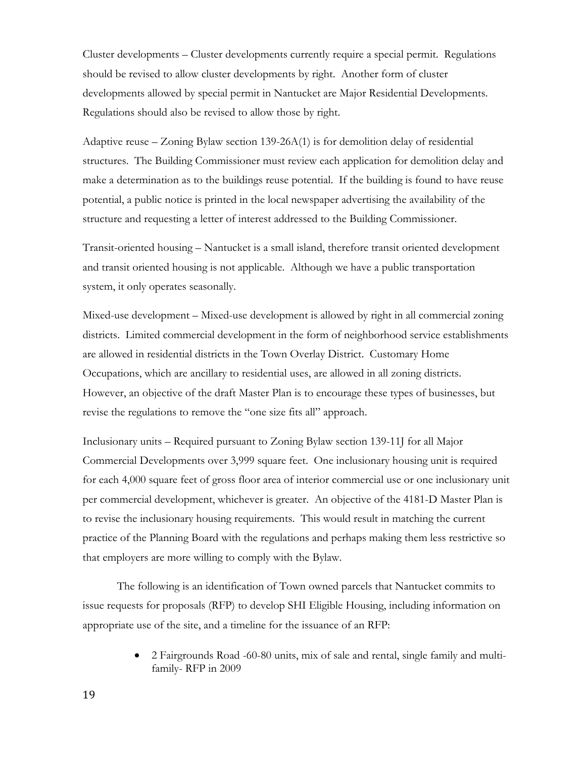Cluster developments – Cluster developments currently require a special permit. Regulations should be revised to allow cluster developments by right. Another form of cluster developments allowed by special permit in Nantucket are Major Residential Developments. Regulations should also be revised to allow those by right.

Adaptive reuse – Zoning Bylaw section 139-26A(1) is for demolition delay of residential structures. The Building Commissioner must review each application for demolition delay and make a determination as to the buildings reuse potential. If the building is found to have reuse potential, a public notice is printed in the local newspaper advertising the availability of the structure and requesting a letter of interest addressed to the Building Commissioner.

Transit-oriented housing – Nantucket is a small island, therefore transit oriented development and transit oriented housing is not applicable. Although we have a public transportation system, it only operates seasonally.

Mixed-use development – Mixed-use development is allowed by right in all commercial zoning districts. Limited commercial development in the form of neighborhood service establishments are allowed in residential districts in the Town Overlay District. Customary Home Occupations, which are ancillary to residential uses, are allowed in all zoning districts. However, an objective of the draft Master Plan is to encourage these types of businesses, but revise the regulations to remove the "one size fits all" approach.

Inclusionary units – Required pursuant to Zoning Bylaw section 139-11J for all Major Commercial Developments over 3,999 square feet. One inclusionary housing unit is required for each 4,000 square feet of gross floor area of interior commercial use or one inclusionary unit per commercial development, whichever is greater. An objective of the 4181-D Master Plan is to revise the inclusionary housing requirements. This would result in matching the current practice of the Planning Board with the regulations and perhaps making them less restrictive so that employers are more willing to comply with the Bylaw.

 The following is an identification of Town owned parcels that Nantucket commits to issue requests for proposals (RFP) to develop SHI Eligible Housing, including information on appropriate use of the site, and a timeline for the issuance of an RFP:

> • 2 Fairgrounds Road -60-80 units, mix of sale and rental, single family and multifamily- RFP in 2009

19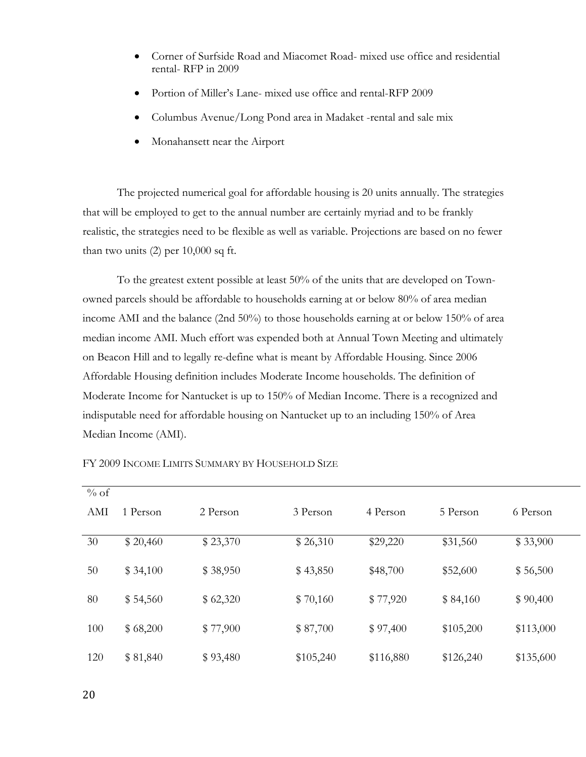- Corner of Surfside Road and Miacomet Road- mixed use office and residential rental- RFP in 2009
- Portion of Miller's Lane- mixed use office and rental-RFP 2009
- Columbus Avenue/Long Pond area in Madaket -rental and sale mix
- Monahansett near the Airport

 The projected numerical goal for affordable housing is 20 units annually. The strategies that will be employed to get to the annual number are certainly myriad and to be frankly realistic, the strategies need to be flexible as well as variable. Projections are based on no fewer than two units (2) per 10,000 sq ft.

 To the greatest extent possible at least 50% of the units that are developed on Townowned parcels should be affordable to households earning at or below 80% of area median income AMI and the balance (2nd 50%) to those households earning at or below 150% of area median income AMI. Much effort was expended both at Annual Town Meeting and ultimately on Beacon Hill and to legally re-define what is meant by Affordable Housing. Since 2006 Affordable Housing definition includes Moderate Income households. The definition of Moderate Income for Nantucket is up to 150% of Median Income. There is a recognized and indisputable need for affordable housing on Nantucket up to an including 150% of Area Median Income (AMI).

| $%$ of |          |          |           |           |           |           |
|--------|----------|----------|-----------|-----------|-----------|-----------|
| AMI    | 1 Person | 2 Person | 3 Person  | 4 Person  | 5 Person  | 6 Person  |
| 30     | \$20,460 | \$23,370 | \$26,310  | \$29,220  | \$31,560  | \$33,900  |
| 50     | \$34,100 | \$38,950 | \$43,850  | \$48,700  | \$52,600  | \$56,500  |
| 80     | \$54,560 | \$62,320 | \$70,160  | \$77,920  | \$84,160  | \$90,400  |
| 100    | \$68,200 | \$77,900 | \$87,700  | \$97,400  | \$105,200 | \$113,000 |
| 120    | \$81,840 | \$93,480 | \$105,240 | \$116,880 | \$126,240 | \$135,600 |

FY 2009 INCOME LIMITS SUMMARY BY HOUSEHOLD SIZE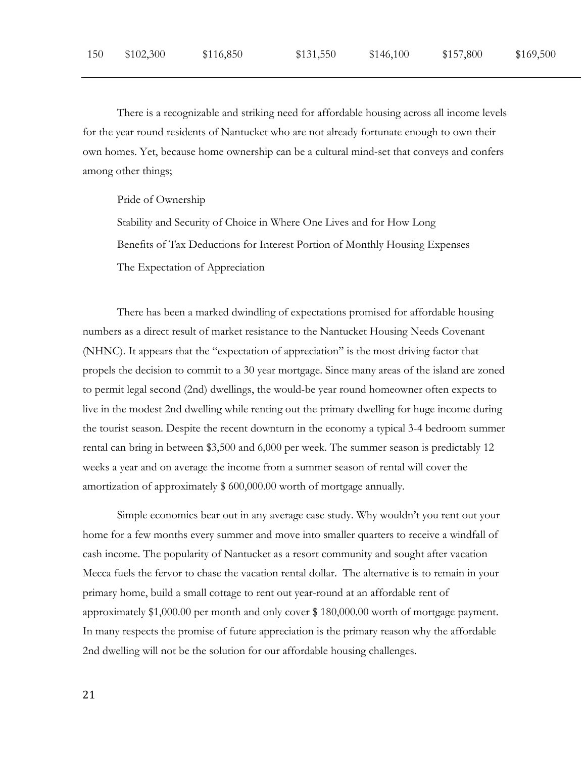There is a recognizable and striking need for affordable housing across all income levels for the year round residents of Nantucket who are not already fortunate enough to own their own homes. Yet, because home ownership can be a cultural mind-set that conveys and confers among other things;

Pride of Ownership

Stability and Security of Choice in Where One Lives and for How Long Benefits of Tax Deductions for Interest Portion of Monthly Housing Expenses The Expectation of Appreciation

 There has been a marked dwindling of expectations promised for affordable housing numbers as a direct result of market resistance to the Nantucket Housing Needs Covenant (NHNC). It appears that the "expectation of appreciation" is the most driving factor that propels the decision to commit to a 30 year mortgage. Since many areas of the island are zoned to permit legal second (2nd) dwellings, the would-be year round homeowner often expects to live in the modest 2nd dwelling while renting out the primary dwelling for huge income during the tourist season. Despite the recent downturn in the economy a typical 3-4 bedroom summer rental can bring in between \$3,500 and 6,000 per week. The summer season is predictably 12 weeks a year and on average the income from a summer season of rental will cover the amortization of approximately \$ 600,000.00 worth of mortgage annually.

 Simple economics bear out in any average case study. Why wouldn't you rent out your home for a few months every summer and move into smaller quarters to receive a windfall of cash income. The popularity of Nantucket as a resort community and sought after vacation Mecca fuels the fervor to chase the vacation rental dollar. The alternative is to remain in your primary home, build a small cottage to rent out year-round at an affordable rent of approximately \$1,000.00 per month and only cover \$ 180,000.00 worth of mortgage payment. In many respects the promise of future appreciation is the primary reason why the affordable 2nd dwelling will not be the solution for our affordable housing challenges.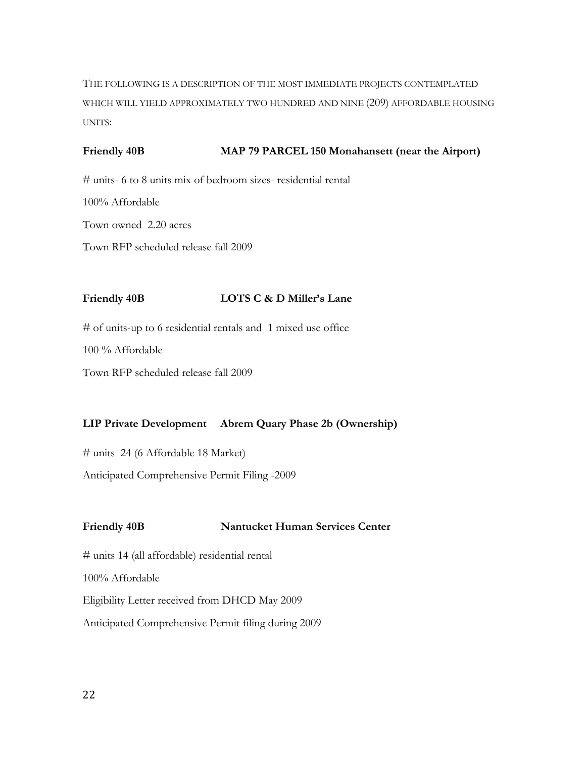THE FOLLOWING IS A DESCRIPTION OF THE MOST IMMEDIATE PROJECTS CONTEMPLATED WHICH WILL YIELD APPROXIMATELY TWO HUNDRED AND NINE (209) AFFORDABLE HOUSING UNITS:

## Friendly 40B **MAP 79 PARCEL 150 Monahansett (near the Airport)**

# units- 6 to 8 units mix of bedroom sizes- residential rental 100% Affordable Town owned 2.20 acres Town RFP scheduled release fall 2009

# **Friendly 40B LOTS C & D Miller's Lane**

# of units-up to 6 residential rentals and 1 mixed use office

100 % Affordable

Town RFP scheduled release fall 2009

# **LIP Private Development Abrem Quary Phase 2b (Ownership)**

# units 24 (6 Affordable 18 Market)

Anticipated Comprehensive Permit Filing -2009

## **Friendly 40B Nantucket Human Services Center**

# units 14 (all affordable) residential rental 100% Affordable Eligibility Letter received from DHCD May 2009 Anticipated Comprehensive Permit filing during 2009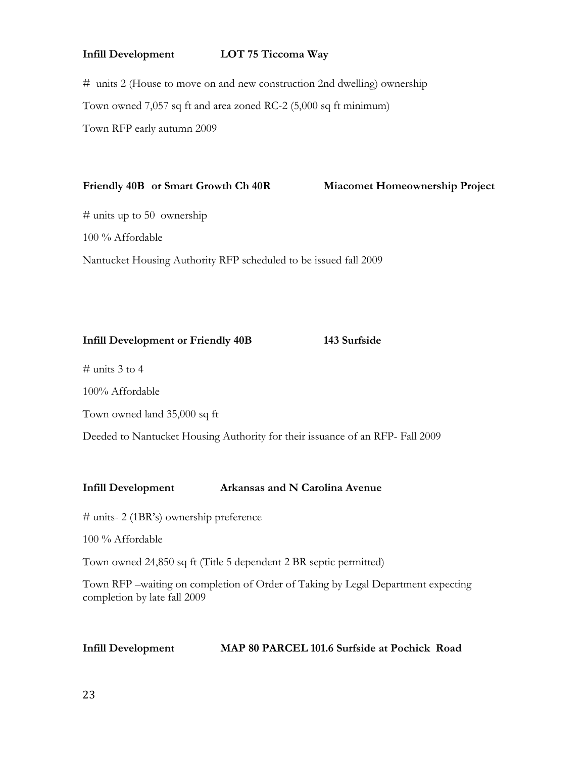## **Infill Development LOT 75 Ticcoma Way**

# units 2 (House to move on and new construction 2nd dwelling) ownership Town owned 7,057 sq ft and area zoned RC-2 (5,000 sq ft minimum) Town RFP early autumn 2009

### **Friendly 40B or Smart Growth Ch 40R Miacomet Homeownership Project**

# units up to 50 ownership

100 % Affordable

Nantucket Housing Authority RFP scheduled to be issued fall 2009

# **Infill Development or Friendly 40B 143 Surfside**

 $\#$  units 3 to 4

100% Affordable

Town owned land 35,000 sq ft

Deeded to Nantucket Housing Authority for their issuance of an RFP- Fall 2009

## **Infill Development Arkansas and N Carolina Avenue**

# units- 2 (1BR's) ownership preference

100 % Affordable

Town owned 24,850 sq ft (Title 5 dependent 2 BR septic permitted)

Town RFP –waiting on completion of Order of Taking by Legal Department expecting completion by late fall 2009

| Infill Development | MAP 80 PARCEL 101.6 Surfside at Pochick Road |  |
|--------------------|----------------------------------------------|--|
|--------------------|----------------------------------------------|--|